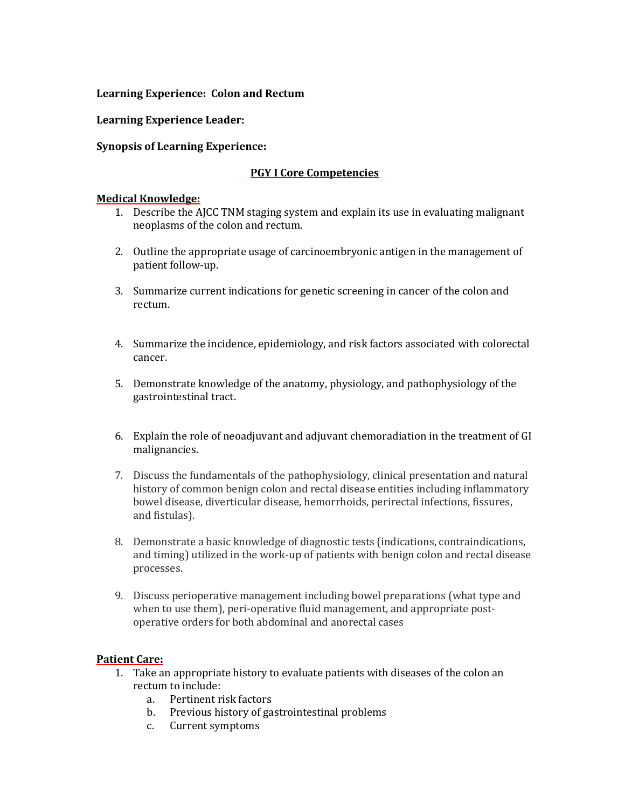### **Learning Experience: Colon and Rectum**

**Learning Experience Leader:**

### **Synopsis of Learning Experience:**

#### **PGY I Core Competencies**

#### **Medical Knowledge:**

- 1. Describe the AJCC TNM staging system and explain its use in evaluating malignant neoplasms of the colon and rectum.
- 2. Outline the appropriate usage of carcinoembryonic antigen in the management of patient follow-up.
- 3. Summarize current indications for genetic screening in cancer of the colon and rectum.
- 4. Summarize the incidence, epidemiology, and risk factors associated with colorectal cancer.
- 5. Demonstrate knowledge of the anatomy, physiology, and pathophysiology of the gastrointestinal tract.
- 6. Explain the role of neoadjuvant and adjuvant chemoradiation in the treatment of GI malignancies.
- 7. Discuss the fundamentals of the pathophysiology, clinical presentation and natural history of common benign colon and rectal disease entities including inflammatory bowel disease, diverticular disease, hemorrhoids, perirectal infections, fissures, and fistulas).
- 8. Demonstrate a basic knowledge of diagnostic tests (indications, contraindications, and timing) utilized in the work-up of patients with benign colon and rectal disease processes.
- 9. Discuss perioperative management including bowel preparations (what type and when to use them), peri-operative fluid management, and appropriate postoperative orders for both abdominal and anorectal cases

### **Patient Care:**

- 1. Take an appropriate history to evaluate patients with diseases of the colon an rectum to include:
	- a. Pertinent risk factors
	- b. Previous history of gastrointestinal problems
	- c. Current symptoms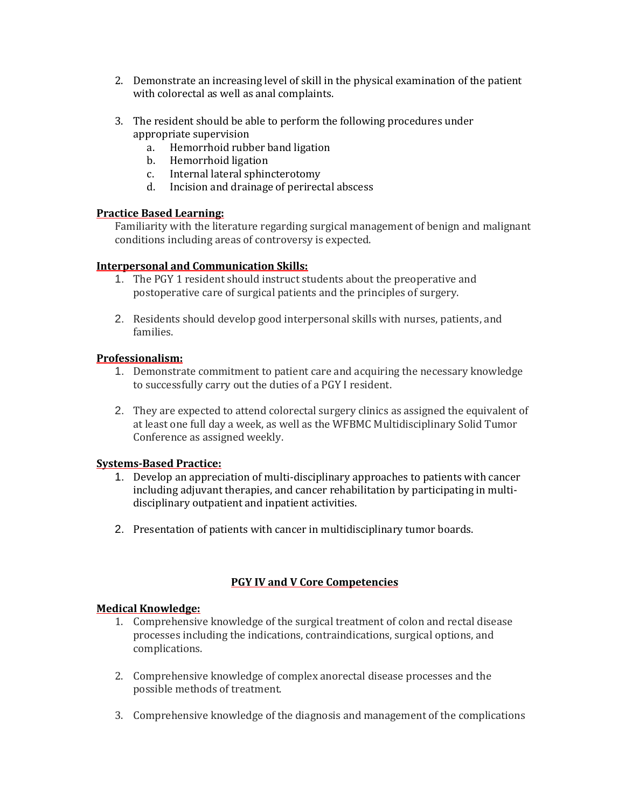- 2. Demonstrate an increasing level of skill in the physical examination of the patient with colorectal as well as anal complaints.
- 3. The resident should be able to perform the following procedures under appropriate supervision
	- a. Hemorrhoid rubber band ligation
	- b. Hemorrhoid ligation
	- c. Internal lateral sphincterotomy
	- d. Incision and drainage of perirectal abscess

### **Practice Based Learning:**

Familiarity with the literature regarding surgical management of benign and malignant conditions including areas of controversy is expected.

### **Interpersonal and Communication Skills:**

- 1. The PGY 1 resident should instruct students about the preoperative and postoperative care of surgical patients and the principles of surgery.
- 2. Residents should develop good interpersonal skills with nurses, patients, and families.

## **Professionalism:**

- 1. Demonstrate commitment to patient care and acquiring the necessary knowledge to successfully carry out the duties of a PGY I resident.
- 2. They are expected to attend colorectal surgery clinics as assigned the equivalent of at least one full day a week, as well as the WFBMC Multidisciplinary Solid Tumor Conference as assigned weekly.

### **Systems-Based Practice:**

- 1. Develop an appreciation of multi-disciplinary approaches to patients with cancer including adjuvant therapies, and cancer rehabilitation by participating in multidisciplinary outpatient and inpatient activities.
- 2. Presentation of patients with cancer in multidisciplinary tumor boards.

# **PGY IV and V Core Competencies**

### **Medical Knowledge:**

- 1. Comprehensive knowledge of the surgical treatment of colon and rectal disease processes including the indications, contraindications, surgical options, and complications.
- 2. Comprehensive knowledge of complex anorectal disease processes and the possible methods of treatment.
- 3. Comprehensive knowledge of the diagnosis and management of the complications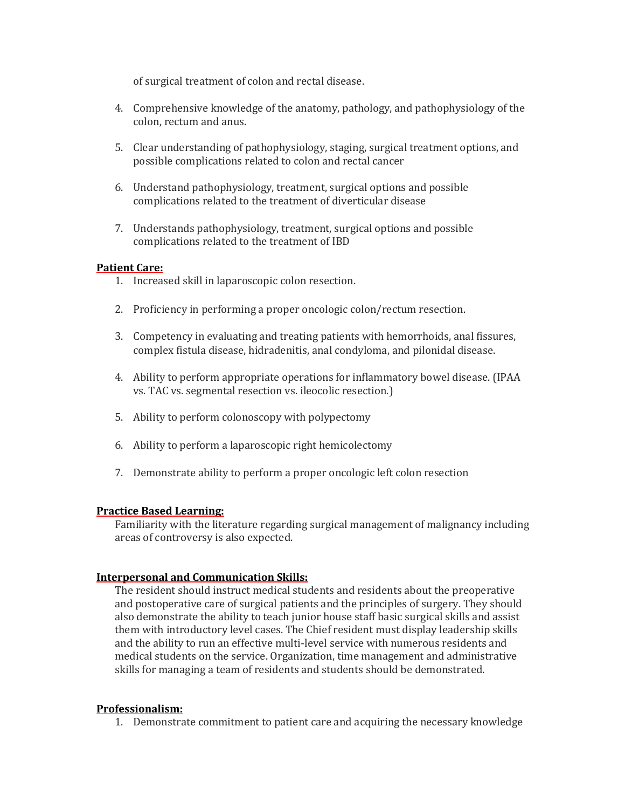of surgical treatment of colon and rectal disease.

- 4. Comprehensive knowledge of the anatomy, pathology, and pathophysiology of the colon, rectum and anus.
- 5. Clear understanding of pathophysiology, staging, surgical treatment options, and possible complications related to colon and rectal cancer
- 6. Understand pathophysiology, treatment, surgical options and possible complications related to the treatment of diverticular disease
- 7. Understands pathophysiology, treatment, surgical options and possible complications related to the treatment of IBD

### **Patient Care:**

- 1. Increased skill in laparoscopic colon resection.
- 2. Proficiency in performing a proper oncologic colon/rectum resection.
- 3. Competency in evaluating and treating patients with hemorrhoids, anal fissures, complex fistula disease, hidradenitis, anal condyloma, and pilonidal disease.
- 4. Ability to perform appropriate operations for inflammatory bowel disease. (IPAA vs. TAC vs. segmental resection vs. ileocolic resection.)
- 5. Ability to perform colonoscopy with polypectomy
- 6. Ability to perform a laparoscopic right hemicolectomy
- 7. Demonstrate ability to perform a proper oncologic left colon resection

### **Practice Based Learning:**

Familiarity with the literature regarding surgical management of malignancy including areas of controversy is also expected.

### **Interpersonal and Communication Skills:**

The resident should instruct medical students and residents about the preoperative and postoperative care of surgical patients and the principles of surgery. They should also demonstrate the ability to teach junior house staff basic surgical skills and assist them with introductory level cases. The Chief resident must display leadership skills and the ability to run an effective multi-level service with numerous residents and medical students on the service. Organization, time management and administrative skills for managing a team of residents and students should be demonstrated.

### **Professionalism:**

1. Demonstrate commitment to patient care and acquiring the necessary knowledge